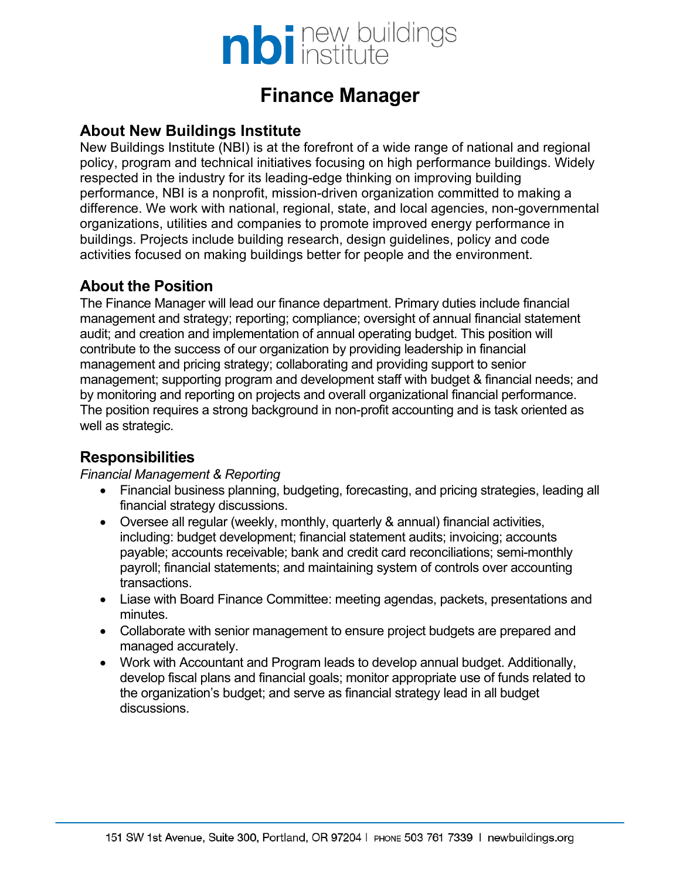

# **Finance Manager**

### **About New Buildings Institute**

New Buildings Institute (NBI) is at the forefront of a wide range of national and regional policy, program and technical initiatives focusing on high performance buildings. Widely respected in the industry for its leading-edge thinking on improving building performance, NBI is a nonprofit, mission-driven organization committed to making a difference. We work with national, regional, state, and local agencies, non-governmental organizations, utilities and companies to promote improved energy performance in buildings. Projects include building research, design guidelines, policy and code activities focused on making buildings better for people and the environment.

# **About the Position**

The Finance Manager will lead our finance department. Primary duties include financial management and strategy; reporting; compliance; oversight of annual financial statement audit; and creation and implementation of annual operating budget. This position will contribute to the success of our organization by providing leadership in financial management and pricing strategy; collaborating and providing support to senior management; supporting program and development staff with budget & financial needs; and by monitoring and reporting on projects and overall organizational financial performance. The position requires a strong background in non-profit accounting and is task oriented as well as strategic.

### **Responsibilities**

*Financial Management & Reporting*

- Financial business planning, budgeting, forecasting, and pricing strategies, leading all financial strategy discussions.
- Oversee all regular (weekly, monthly, quarterly & annual) financial activities, including: budget development; financial statement audits; invoicing; accounts payable; accounts receivable; bank and credit card reconciliations; semi-monthly payroll; financial statements; and maintaining system of controls over accounting transactions.
- Liase with Board Finance Committee: meeting agendas, packets, presentations and minutes.
- Collaborate with senior management to ensure project budgets are prepared and managed accurately.
- Work with Accountant and Program leads to develop annual budget. Additionally, develop fiscal plans and financial goals; monitor appropriate use of funds related to the organization's budget; and serve as financial strategy lead in all budget discussions.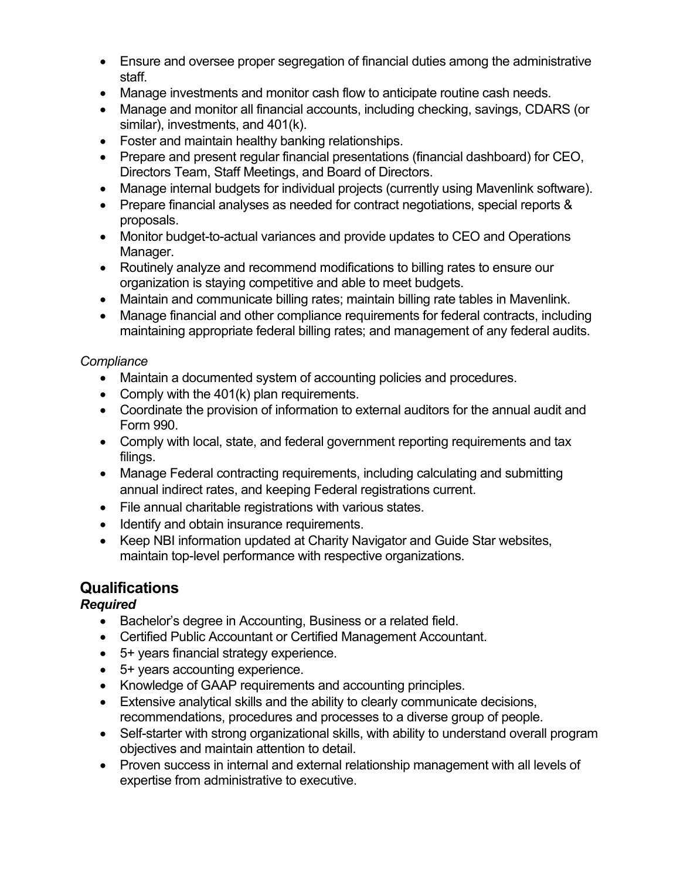- Ensure and oversee proper segregation of financial duties among the administrative staff.
- Manage investments and monitor cash flow to anticipate routine cash needs.
- Manage and monitor all financial accounts, including checking, savings, CDARS (or similar), investments, and 401(k).
- Foster and maintain healthy banking relationships.
- Prepare and present regular financial presentations (financial dashboard) for CEO, Directors Team, Staff Meetings, and Board of Directors.
- Manage internal budgets for individual projects (currently using Mavenlink software).
- Prepare financial analyses as needed for contract negotiations, special reports & proposals.
- Monitor budget-to-actual variances and provide updates to CEO and Operations Manager.
- Routinely analyze and recommend modifications to billing rates to ensure our organization is staying competitive and able to meet budgets.
- Maintain and communicate billing rates; maintain billing rate tables in Mavenlink.
- Manage financial and other compliance requirements for federal contracts, including maintaining appropriate federal billing rates; and management of any federal audits.

### *Compliance*

- Maintain a documented system of accounting policies and procedures.
- Comply with the 401(k) plan requirements.
- Coordinate the provision of information to external auditors for the annual audit and Form 990.
- Comply with local, state, and federal government reporting requirements and tax filings.
- Manage Federal contracting requirements, including calculating and submitting annual indirect rates, and keeping Federal registrations current.
- File annual charitable registrations with various states.
- Identify and obtain insurance requirements.
- Keep NBI information updated at Charity Navigator and Guide Star websites, maintain top-level performance with respective organizations.

# **Qualifications**

#### *Required*

- Bachelor's degree in Accounting, Business or a related field.
- Certified Public Accountant or Certified Management Accountant.
- 5+ years financial strategy experience.
- 5+ years accounting experience.
- Knowledge of GAAP requirements and accounting principles.
- Extensive analytical skills and the ability to clearly communicate decisions, recommendations, procedures and processes to a diverse group of people.
- Self-starter with strong organizational skills, with ability to understand overall program objectives and maintain attention to detail.
- Proven success in internal and external relationship management with all levels of expertise from administrative to executive.